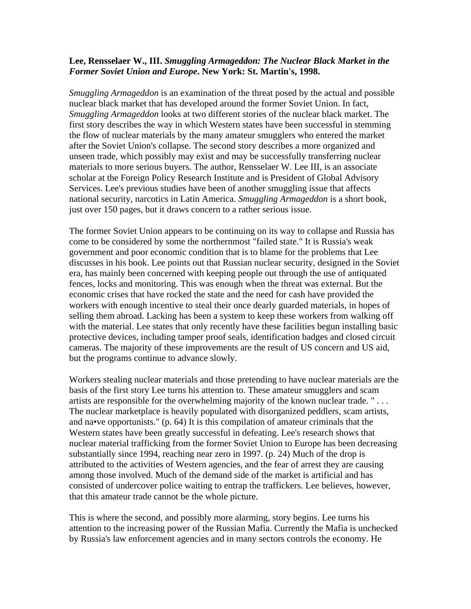## **Lee, Rensselaer W., III.** *Smuggling Armageddon: The Nuclear Black Market in the Former Soviet Union and Europe***. New York: St. Martin's, 1998.**

*Smuggling Armageddon* is an examination of the threat posed by the actual and possible nuclear black market that has developed around the former Soviet Union. In fact, *Smuggling Armageddon* looks at two different stories of the nuclear black market. The first story describes the way in which Western states have been successful in stemming the flow of nuclear materials by the many amateur smugglers who entered the market after the Soviet Union's collapse. The second story describes a more organized and unseen trade, which possibly may exist and may be successfully transferring nuclear materials to more serious buyers. The author, Rensselaer W. Lee III, is an associate scholar at the Foreign Policy Research Institute and is President of Global Advisory Services. Lee's previous studies have been of another smuggling issue that affects national security, narcotics in Latin America. *Smuggling Armageddon* is a short book, just over 150 pages, but it draws concern to a rather serious issue.

The former Soviet Union appears to be continuing on its way to collapse and Russia has come to be considered by some the northernmost "failed state." It is Russia's weak government and poor economic condition that is to blame for the problems that Lee discusses in his book. Lee points out that Russian nuclear security, designed in the Soviet era, has mainly been concerned with keeping people out through the use of antiquated fences, locks and monitoring. This was enough when the threat was external. But the economic crises that have rocked the state and the need for cash have provided the workers with enough incentive to steal their once dearly guarded materials, in hopes of selling them abroad. Lacking has been a system to keep these workers from walking off with the material. Lee states that only recently have these facilities begun installing basic protective devices, including tamper proof seals, identification badges and closed circuit cameras. The majority of these improvements are the result of US concern and US aid, but the programs continue to advance slowly.

Workers stealing nuclear materials and those pretending to have nuclear materials are the basis of the first story Lee turns his attention to. These amateur smugglers and scam artists are responsible for the overwhelming majority of the known nuclear trade. " . . . The nuclear marketplace is heavily populated with disorganized peddlers, scam artists, and na•ve opportunists." (p. 64) It is this compilation of amateur criminals that the Western states have been greatly successful in defeating. Lee's research shows that nuclear material trafficking from the former Soviet Union to Europe has been decreasing substantially since 1994, reaching near zero in 1997. (p. 24) Much of the drop is attributed to the activities of Western agencies, and the fear of arrest they are causing among those involved. Much of the demand side of the market is artificial and has consisted of undercover police waiting to entrap the traffickers. Lee believes, however, that this amateur trade cannot be the whole picture.

This is where the second, and possibly more alarming, story begins. Lee turns his attention to the increasing power of the Russian Mafia. Currently the Mafia is unchecked by Russia's law enforcement agencies and in many sectors controls the economy. He